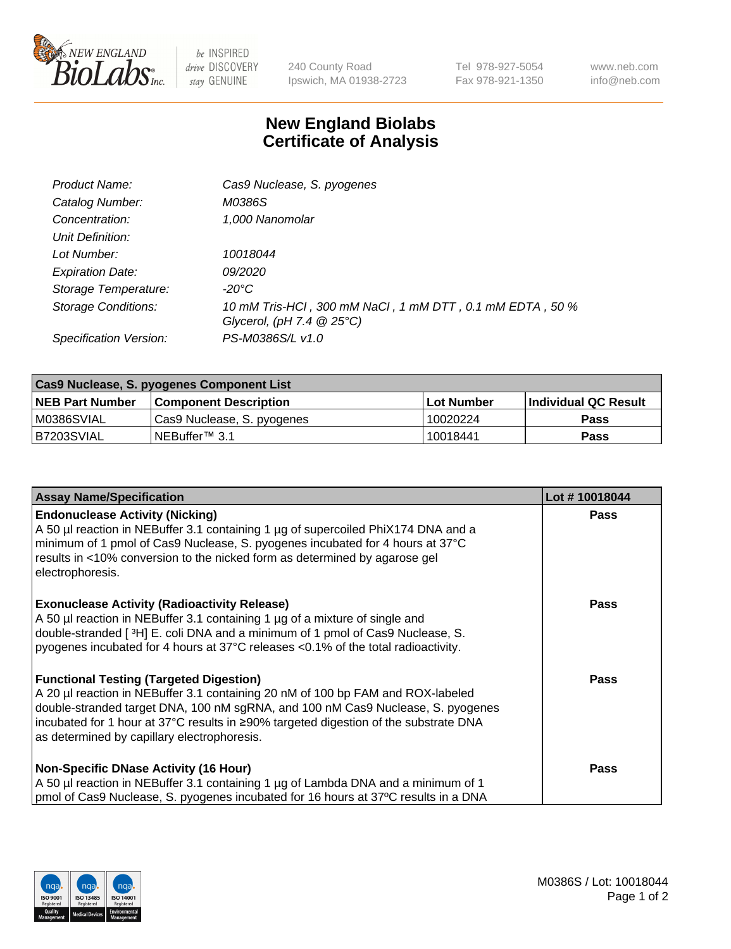

 $be$  INSPIRED drive DISCOVERY stay GENUINE

240 County Road Ipswich, MA 01938-2723 Tel 978-927-5054 Fax 978-921-1350 www.neb.com info@neb.com

## **New England Biolabs Certificate of Analysis**

| Product Name:           | Cas9 Nuclease, S. pyogenes                               |
|-------------------------|----------------------------------------------------------|
| Catalog Number:         | M0386S                                                   |
| Concentration:          | 1,000 Nanomolar                                          |
| Unit Definition:        |                                                          |
| Lot Number:             | 10018044                                                 |
| <b>Expiration Date:</b> | <i>09/2020</i>                                           |
| Storage Temperature:    | $-20^{\circ}$ C                                          |
| Storage Conditions:     | 10 mM Tris-HCl, 300 mM NaCl, 1 mM DTT, 0.1 mM EDTA, 50 % |
|                         | Glycerol, (pH 7.4 $@25°C$ )                              |
| Specification Version:  | PS-M0386S/L v1.0                                         |

| Cas9 Nuclease, S. pyogenes Component List |                              |                   |                      |  |
|-------------------------------------------|------------------------------|-------------------|----------------------|--|
| <b>NEB Part Number</b>                    | <b>Component Description</b> | <b>Lot Number</b> | Individual QC Result |  |
| M0386SVIAL                                | Cas9 Nuclease, S. pyogenes   | 10020224          | <b>Pass</b>          |  |
| I B7203SVIAL                              | NEBuffer™ 3.1                | 10018441          | <b>Pass</b>          |  |

| <b>Assay Name/Specification</b>                                                                                                                                                                                                                                                                                                                             | Lot #10018044 |
|-------------------------------------------------------------------------------------------------------------------------------------------------------------------------------------------------------------------------------------------------------------------------------------------------------------------------------------------------------------|---------------|
| <b>Endonuclease Activity (Nicking)</b><br>A 50 µl reaction in NEBuffer 3.1 containing 1 µg of supercoiled PhiX174 DNA and a<br>minimum of 1 pmol of Cas9 Nuclease, S. pyogenes incubated for 4 hours at 37°C<br>results in <10% conversion to the nicked form as determined by agarose gel<br>electrophoresis.                                              | <b>Pass</b>   |
| <b>Exonuclease Activity (Radioactivity Release)</b><br>A 50 µl reaction in NEBuffer 3.1 containing 1 µg of a mixture of single and<br>double-stranded [3H] E. coli DNA and a minimum of 1 pmol of Cas9 Nuclease, S.<br>pyogenes incubated for 4 hours at 37°C releases <0.1% of the total radioactivity.                                                    | Pass          |
| <b>Functional Testing (Targeted Digestion)</b><br>A 20 µl reaction in NEBuffer 3.1 containing 20 nM of 100 bp FAM and ROX-labeled<br>double-stranded target DNA, 100 nM sgRNA, and 100 nM Cas9 Nuclease, S. pyogenes<br>incubated for 1 hour at 37°C results in ≥90% targeted digestion of the substrate DNA<br>as determined by capillary electrophoresis. | Pass          |
| <b>Non-Specific DNase Activity (16 Hour)</b><br>A 50 µl reaction in NEBuffer 3.1 containing 1 µg of Lambda DNA and a minimum of 1<br>pmol of Cas9 Nuclease, S. pyogenes incubated for 16 hours at 37°C results in a DNA                                                                                                                                     | Pass          |